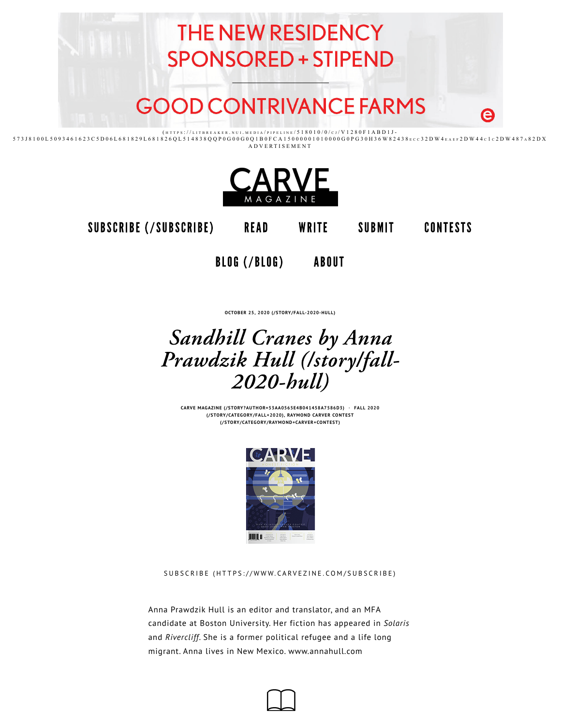



SUBSCRIBE (/SUBSCRIBE) READ WRITE SUBMIT

**CONTESTS** 

BLOG (/BLOG) ABOUT

**OCTOBER 25, 2020 (/STORY/FALL-2020-HULL)**

# Sandhill Cranes by Anna Prawdzik Hull (/story/fall- $2020$ -bull)

**CARVE MAGAZINE (/STORY?AUTHOR=53AA0565E4B041458A7586D3) · FALL 2020 (/STORY/CATEGORY/FALL+2020), RAYMOND CARVER CONTEST (/STORY/CATEGORY/RAYMOND+CARVER+CONTEST)**



SUBSCRIBE (HTTPS://WWW.CARVEZINE.COM/SUBSCRIBE)

Anna Prawdzik Hull is an editor and translator, and an MFA candidate at Boston University. Her fiction has appeared in *Solaris* and *Rivercliff*. She is a former political refugee and a life long migrant. Anna lives in New Mexico. www.annahull.com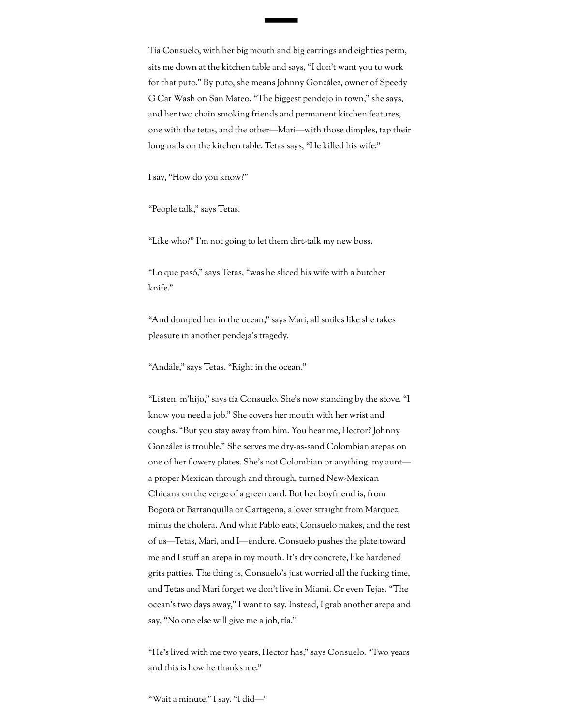Tía Consuelo, with her big mouth and big earrings and eighties perm, sits me down at the kitchen table and says, "I don't want you to work for that puto." By puto, she means Johnny González, owner of Speedy G Car Wash on San Mateo. "The biggest pendejo in town," she says, and her two chain smoking friends and permanent kitchen features, one with the tetas, and the other—Mari—with those dimples, tap their long nails on the kitchen table. Tetas says, "He killed his wife."

I say, "How do you know?"

"People talk," says Tetas.

"Like who?" I'm not going to let them dirt-talk my new boss.

"Lo que pasó," says Tetas, "was he sliced his wife with a butcher knife."

"And dumped her in the ocean," says Mari, all smiles like she takes pleasure in another pendeja's tragedy.

"Andále," says Tetas. "Right in the ocean."

"Listen, m'hijo," says tía Consuelo. She's now standing by the stove. "I know you need a job." She covers her mouth with her wrist and coughs. "But you stay away from him. You hear me, Hector? Johnny González is trouble." She serves me dry-as-sand Colombian arepas on one of her flowery plates. She's not Colombian or anything, my aunt a proper Mexican through and through, turned New-Mexican Chicana on the verge of a green card. But her boyfriend is, from Bogotá or Barranquilla or Cartagena, a lover straight from Márquez, minus the cholera. And what Pablo eats, Consuelo makes, and the rest of us—Tetas, Mari, and I—endure. Consuelo pushes the plate toward me and I stuff an arepa in my mouth. It's dry concrete, like hardened grits patties. The thing is, Consuelo's just worried all the fucking time, and Tetas and Mari forget we don't live in Miami. Or even Tejas. "The ocean's two days away," I want to say. Instead, I grab another arepa and say, "No one else will give me a job, tía."

"He's lived with me two years, Hector has," says Consuelo. "Two years and this is how he thanks me."

"Wait a minute," I say. "I did—"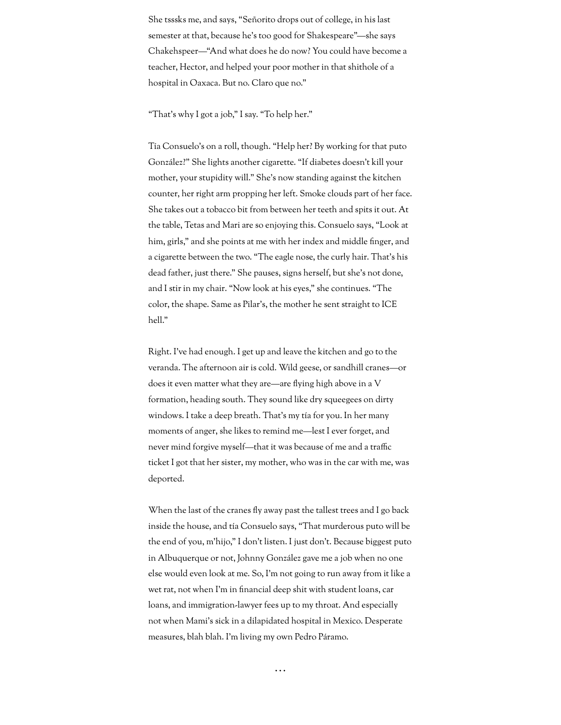She tsssks me, and says, "Señorito drops out of college, in his last semester at that, because he's too good for Shakespeare"—she says Chakehspeer—"And what does he do now? You could have become a teacher, Hector, and helped your poor mother in that shithole of a hospital in Oaxaca. But no. Claro que no."

"That's why I got a job," I say. "To help her."

Tía Consuelo's on a roll, though. "Help her? By working for that puto González?" She lights another cigarette. "If diabetes doesn't kill your mother, your stupidity will." She's now standing against the kitchen counter, her right arm propping her left. Smoke clouds part of her face. She takes out a tobacco bit from between her teeth and spits it out. At the table, Tetas and Mari are so enjoying this. Consuelo says, "Look at him, girls," and she points at me with her index and middle finger, and a cigarette between the two. "The eagle nose, the curly hair. That's his dead father, just there." She pauses, signs herself, but she's not done, and I stir in my chair. "Now look at his eyes," she continues. "The color, the shape. Same as Pilar's, the mother he sent straight to ICE hell."

Right. I've had enough. I get up and leave the kitchen and go to the veranda. The afternoon air is cold. Wild geese, or sandhill cranes—or does it even matter what they are—are flying high above in a  $V$ formation, heading south. They sound like dry squeegees on dirty windows. I take a deep breath. That's my tía for you. In her many moments of anger, she likes to remind me—lest I ever forget, and never mind forgive myself—that it was because of me and a traffic ticket I got that her sister, my mother, who was in the car with me, was deported.

When the last of the cranes fly away past the tallest trees and I go back inside the house, and tía Consuelo says, "That murderous puto will be the end of you, m'hijo," I don't listen. I just don't. Because biggest puto in Albuquerque or not, Johnny González gave me a job when no one else would even look at me. So, I'm not going to run away from it like a wet rat, not when I'm in financial deep shit with student loans, car loans, and immigration-lawyer fees up to my throat. And especially not when Mami's sick in a dilapidated hospital in Mexico. Desperate measures, blah blah. I'm living my own Pedro Páramo.

. . .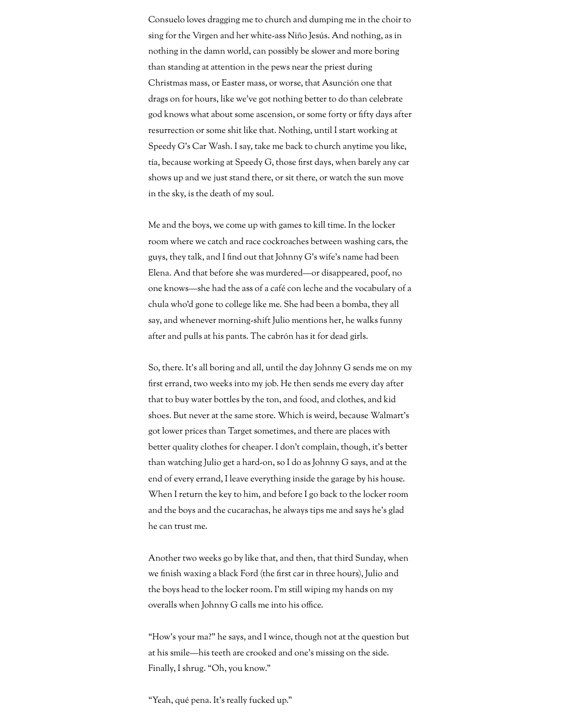Consuelo loves dragging me to church and dumping me in the choir to sing for the Virgen and her white-ass Niño Jesús. And nothing, as in nothing in the damn world, can possibly be slower and more boring than standing at attention in the pews near the priest during Christmas mass, or Easter mass, or worse, that Asunción one that drags on for hours, like we've got nothing better to do than celebrate god knows what about some ascension, or some forty or fifty days after resurrection or some shit like that. Nothing, until I start working at Speedy G's Car Wash. I say, take me back to church anytime you like, tía, because working at Speedy G, those first days, when barely any car shows up and we just stand there, or sit there, or watch the sun move in the sky, is the death of my soul.

Me and the boys, we come up with games to kill time. In the locker room where we catch and race cockroaches between washing cars, the guys, they talk, and I find out that Johnny G's wife's name had been Elena. And that before she was murdered—or disappeared, poof, no one knows—she had the ass of a café con leche and the vocabulary of a chula who'd gone to college like me. She had been a bomba, they all say, and whenever morning-shift Julio mentions her, he walks funny after and pulls at his pants. The cabrón has it for dead girls.

So, there. It's all boring and all, until the day Johnny G sends me on my first errand, two weeks into my job. He then sends me every day after that to buy water bottles by the ton, and food, and clothes, and kid shoes. But never at the same store. Which is weird, because Walmart's got lower prices than Target sometimes, and there are places with better quality clothes for cheaper. I don't complain, though, it's better than watching Julio get a hard-on, so I do as Johnny G says, and at the end of every errand, I leave everything inside the garage by his house. When I return the key to him, and before I go back to the locker room and the boys and the cucarachas, he always tips me and says he's glad he can trust me.

Another two weeks go by like that, and then, that third Sunday, when we finish waxing a black Ford (the first car in three hours), Julio and the boys head to the locker room. I'm still wiping my hands on my overalls when Johnny G calls me into his office.

"How's your ma?" he says, and I wince, though not at the question but at his smile—his teeth are crooked and one's missing on the side. Finally, I shrug. "Oh, you know."

"Yeah, qué pena. It's really fucked up."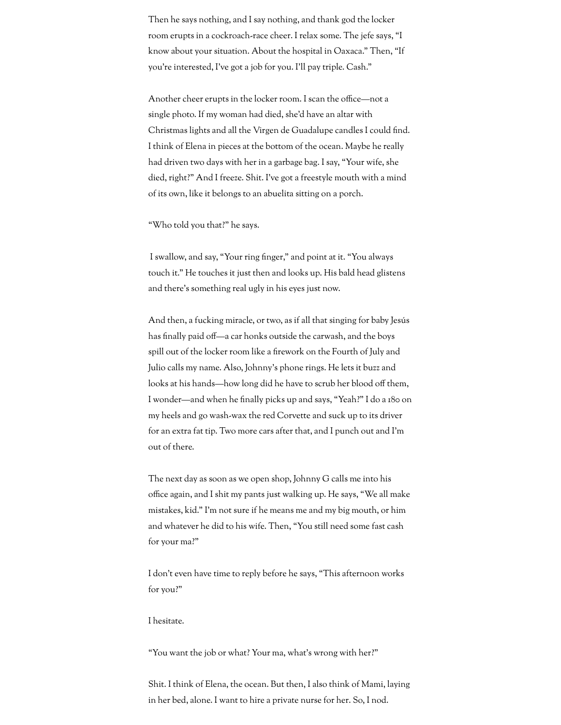Then he says nothing, and I say nothing, and thank god the locker room erupts in a cockroach-race cheer. I relax some. The jefe says, "I know about your situation. About the hospital in Oaxaca." Then, "If you're interested, I've got a job for you. I'll pay triple. Cash."

Another cheer erupts in the locker room. I scan the office—not a single photo. If my woman had died, she'd have an altar with Christmas lights and all the Virgen de Guadalupe candles I could find. I think of Elena in pieces at the bottom of the ocean. Maybe he really had driven two days with her in a garbage bag. I say, "Your wife, she died, right?" And I freeze. Shit. I've got a freestyle mouth with a mind of its own, like it belongs to an abuelita sitting on a porch.

"Who told you that?" he says.

I swallow, and say, "Your ring finger," and point at it. "You always touch it." He touches it just then and looks up. His bald head glistens and there's something real ugly in his eyes just now.

And then, a fucking miracle, or two, as if all that singing for baby Jesús has finally paid off—a car honks outside the carwash, and the boys spill out of the locker room like a firework on the Fourth of July and Julio calls my name. Also, Johnny's phone rings. He lets it buzz and looks at his hands—how long did he have to scrub her blood off them, I wonder—and when he finally picks up and says, "Yeah?" I do a 180 on my heels and go wash-wax the red Corvette and suck up to its driver for an extra fat tip. Two more cars after that, and I punch out and I'm out of there.

The next day as soon as we open shop, Johnny G calls me into his office again, and I shit my pants just walking up. He says, "We all make mistakes, kid." I'm not sure if he means me and my big mouth, or him and whatever he did to his wife. Then, "You still need some fast cash for your ma?"

I don't even have time to reply before he says, "This afternoon works for you?"

## I hesitate.

"You want the job or what? Your ma, what's wrong with her?"

Shit. I think of Elena, the ocean. But then, I also think of Mami, laying in her bed, alone. I want to hire a private nurse for her. So, I nod.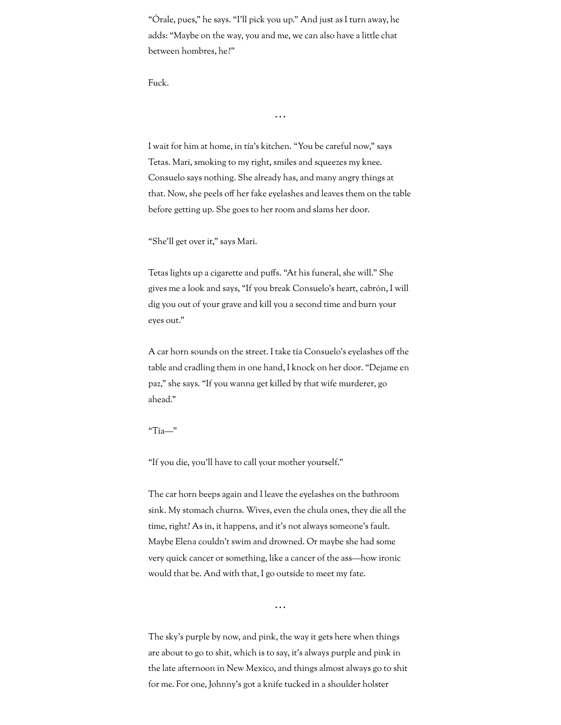"Órale, pues," he says. "I'll pick you up." And just as I turn away, he adds: "Maybe on the way, you and me, we can also have a little chat between hombres, he?"

Fuck.

I wait for him at home, in tía's kitchen. "You be careful now," says Tetas. Mari, smoking to my right, smiles and squeezes my knee. Consuelo says nothing. She already has, and many angry things at that. Now, she peels off her fake eyelashes and leaves them on the table before getting up. She goes to her room and slams her door.

. . .

"She'll get over it," says Mari.

Tetas lights up a cigarette and puffs. "At his funeral, she will." She gives me a look and says, "If you break Consuelo's heart, cabrón, I will dig you out of your grave and kill you a second time and burn your eyes out."

A car horn sounds on the street. I take tía Consuelo's eyelashes off the table and cradling them in one hand, I knock on her door. "Dejame en paz," she says. "If you wanna get killed by that wife murderer, go ahead."

"Tía—"

"If you die, you'll have to call your mother yourself."

The car horn beeps again and I leave the eyelashes on the bathroom sink. My stomach churns. Wives, even the chula ones, they die all the time, right? As in, it happens, and it's not always someone's fault. Maybe Elena couldn't swim and drowned. Or maybe she had some very quick cancer or something, like a cancer of the ass—how ironic would that be. And with that, I go outside to meet my fate.

. . .

The sky's purple by now, and pink, the way it gets here when things are about to go to shit, which is to say, it's always purple and pink in the late afternoon in New Mexico, and things almost always go to shit for me. For one, Johnny's got a knife tucked in a shoulder holster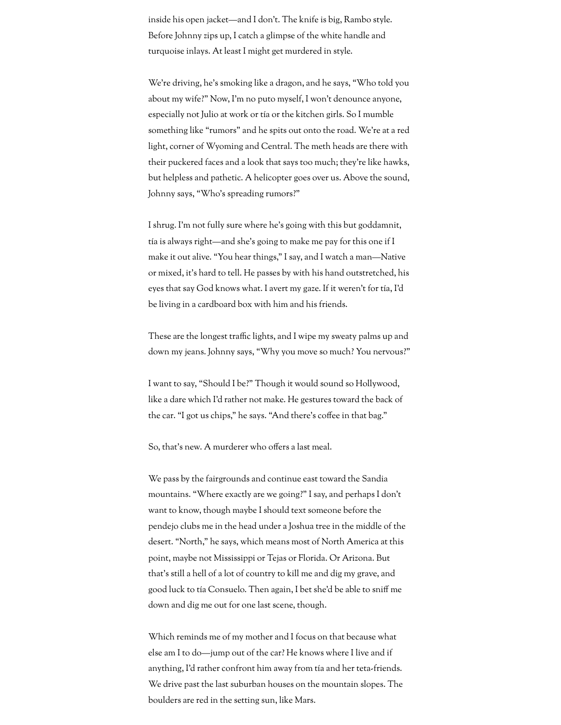inside his open jacket—and I don't. The knife is big, Rambo style. Before Johnny zips up, I catch a glimpse of the white handle and turquoise inlays. At least I might get murdered in style.

We're driving, he's smoking like a dragon, and he says, "Who told you about my wife?" Now, I'm no puto myself, I won't denounce anyone, especially not Julio at work or tía or the kitchen girls. So I mumble something like "rumors" and he spits out onto the road. We're at a red light, corner of Wyoming and Central. The meth heads are there with their puckered faces and a look that says too much; they're like hawks, but helpless and pathetic. A helicopter goes over us. Above the sound, Johnny says, "Who's spreading rumors?"

I shrug. I'm not fully sure where he's going with this but goddamnit, tía is always right—and she's going to make me pay for this one if I make it out alive. "You hear things," I say, and I watch a man—Native or mixed, it's hard to tell. He passes by with his hand outstretched, his eyes that say God knows what. I avert my gaze. If it weren't for tía, I'd be living in a cardboard box with him and his friends.

These are the longest traffic lights, and I wipe my sweaty palms up and down my jeans. Johnny says, "Why you move so much? You nervous?"

I want to say, "Should I be?" Though it would sound so Hollywood, like a dare which I'd rather not make. He gestures toward the back of the car. "I got us chips," he says. "And there's coffee in that bag."

So, that's new. A murderer who offers a last meal.

We pass by the fairgrounds and continue east toward the Sandia mountains. "Where exactly are we going?" I say, and perhaps I don't want to know, though maybe I should text someone before the pendejo clubs me in the head under a Joshua tree in the middle of the desert. "North," he says, which means most of North America at this point, maybe not Mississippi or Tejas or Florida. Or Arizona. But that's still a hell of a lot of country to kill me and dig my grave, and good luck to tía Consuelo. Then again, I bet she'd be able to sniff me down and dig me out for one last scene, though.

Which reminds me of my mother and I focus on that because what else am I to do—jump out of the car? He knows where I live and if anything, I'd rather confront him away from tía and her teta-friends. We drive past the last suburban houses on the mountain slopes. The boulders are red in the setting sun, like Mars.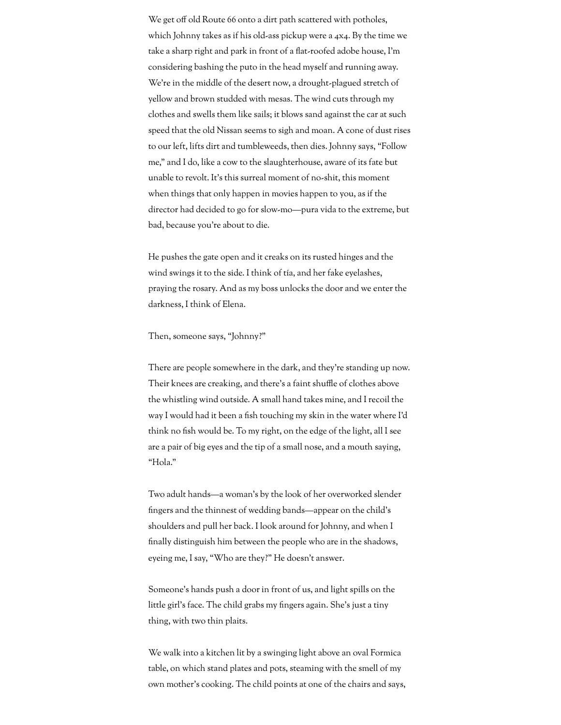We get off old Route 66 onto a dirt path scattered with potholes, which Johnny takes as if his old-ass pickup were a 4x4. By the time we take a sharp right and park in front of a flat-roofed adobe house, I'm considering bashing the puto in the head myself and running away. We're in the middle of the desert now, a drought-plagued stretch of yellow and brown studded with mesas. The wind cuts through my clothes and swells them like sails; it blows sand against the car at such speed that the old Nissan seems to sigh and moan. A cone of dust rises to our left, lifts dirt and tumbleweeds, then dies. Johnny says, "Follow me," and I do, like a cow to the slaughterhouse, aware of its fate but unable to revolt. It's this surreal moment of no-shit, this moment when things that only happen in movies happen to you, as if the director had decided to go for slow-mo—pura vida to the extreme, but bad, because you're about to die.

He pushes the gate open and it creaks on its rusted hinges and the wind swings it to the side. I think of tía, and her fake eyelashes, praying the rosary. And as my boss unlocks the door and we enter the darkness, I think of Elena.

## Then, someone says, "Johnny?"

There are people somewhere in the dark, and they're standing up now. Their knees are creaking, and there's a faint shuffle of clothes above the whistling wind outside. A small hand takes mine, and I recoil the way I would had it been a fish touching my skin in the water where I'd think no fish would be. To my right, on the edge of the light, all I see are a pair of big eyes and the tip of a small nose, and a mouth saying, "Hola."

Two adult hands—a woman's by the look of her overworked slender ngers and the thinnest of wedding bands—appear on the child's shoulders and pull her back. I look around for Johnny, and when I nally distinguish him between the people who are in the shadows, eyeing me, I say, "Who are they?" He doesn't answer.

Someone's hands push a door in front of us, and light spills on the little girl's face. The child grabs my fingers again. She's just a tiny thing, with two thin plaits.

We walk into a kitchen lit by a swinging light above an oval Formica table, on which stand plates and pots, steaming with the smell of my own mother's cooking. The child points at one of the chairs and says,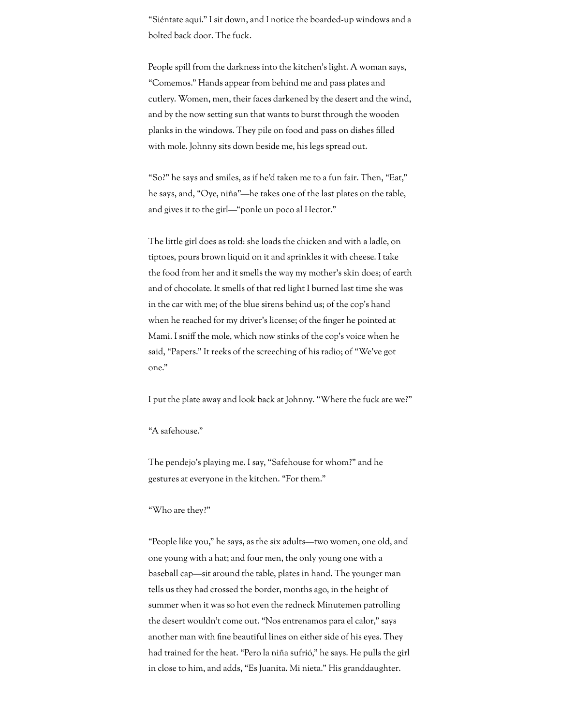"Siéntate aquí." I sit down, and I notice the boarded-up windows and a bolted back door. The fuck.

People spill from the darkness into the kitchen's light. A woman says, "Comemos." Hands appear from behind me and pass plates and cutlery. Women, men, their faces darkened by the desert and the wind, and by the now setting sun that wants to burst through the wooden planks in the windows. They pile on food and pass on dishes filled with mole. Johnny sits down beside me, his legs spread out.

"So?" he says and smiles, as if he'd taken me to a fun fair. Then, "Eat," he says, and, "Oye, niña"—he takes one of the last plates on the table, and gives it to the girl—"ponle un poco al Hector."

The little girl does as told: she loads the chicken and with a ladle, on tiptoes, pours brown liquid on it and sprinkles it with cheese. I take the food from her and it smells the way my mother's skin does; of earth and of chocolate. It smells of that red light I burned last time she was in the car with me; of the blue sirens behind us; of the cop's hand when he reached for my driver's license; of the finger he pointed at Mami. I sniff the mole, which now stinks of the cop's voice when he said, "Papers." It reeks of the screeching of his radio; of "We've got one."

I put the plate away and look back at Johnny. "Where the fuck are we?"

# "A safehouse."

The pendejo's playing me. I say, "Safehouse for whom?" and he gestures at everyone in the kitchen. "For them."

#### "Who are they?"

"People like you," he says, as the six adults—two women, one old, and one young with a hat; and four men, the only young one with a baseball cap—sit around the table, plates in hand. The younger man tells us they had crossed the border, months ago, in the height of summer when it was so hot even the redneck Minutemen patrolling the desert wouldn't come out. "Nos entrenamos para el calor," says another man with fine beautiful lines on either side of his eyes. They had trained for the heat. "Pero la niña sufrió," he says. He pulls the girl in close to him, and adds, "Es Juanita. Mi nieta." His granddaughter.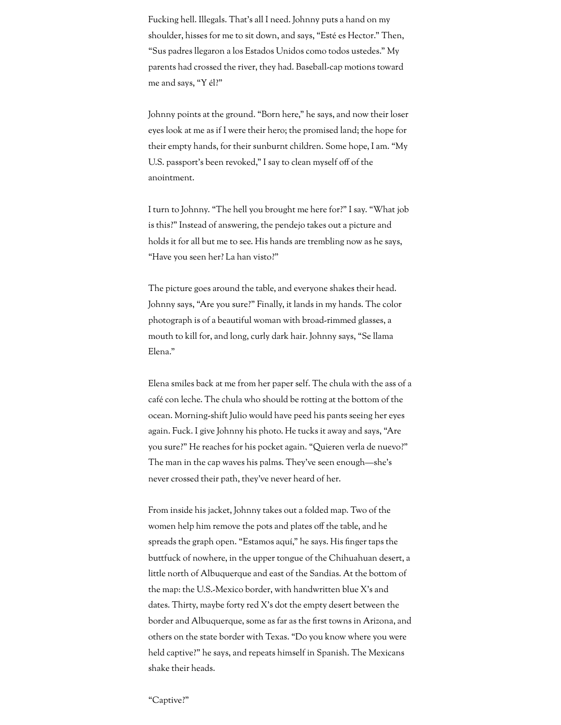Fucking hell. Illegals. That's all I need. Johnny puts a hand on my shoulder, hisses for me to sit down, and says, "Esté es Hector." Then, "Sus padres llegaron a los Estados Unidos como todos ustedes." My parents had crossed the river, they had. Baseball-cap motions toward me and says, "Y él?"

Johnny points at the ground. "Born here," he says, and now their loser eyes look at me as if I were their hero; the promised land; the hope for their empty hands, for their sunburnt children. Some hope, I am. "My U.S. passport's been revoked," I say to clean myself off of the anointment.

I turn to Johnny. "The hell you brought me here for?" I say. "What job is this?" Instead of answering, the pendejo takes out a picture and holds it for all but me to see. His hands are trembling now as he says, "Have you seen her? La han visto?"

The picture goes around the table, and everyone shakes their head. Johnny says, "Are you sure?" Finally, it lands in my hands. The color photograph is of a beautiful woman with broad-rimmed glasses, a mouth to kill for, and long, curly dark hair. Johnny says, "Se llama Elena."

Elena smiles back at me from her paper self. The chula with the ass of a café con leche. The chula who should be rotting at the bottom of the ocean. Morning-shift Julio would have peed his pants seeing her eyes again. Fuck. I give Johnny his photo. He tucks it away and says, "Are you sure?" He reaches for his pocket again. "Quieren verla de nuevo?" The man in the cap waves his palms. They've seen enough—she's never crossed their path, they've never heard of her.

From inside his jacket, Johnny takes out a folded map. Two of the women help him remove the pots and plates off the table, and he spreads the graph open. "Estamos aquí," he says. His finger taps the buttfuck of nowhere, in the upper tongue of the Chihuahuan desert, a little north of Albuquerque and east of the Sandias. At the bottom of the map: the U.S.-Mexico border, with handwritten blue X's and dates. Thirty, maybe forty red X's dot the empty desert between the border and Albuquerque, some as far as the first towns in Arizona, and others on the state border with Texas. "Do you know where you were held captive?" he says, and repeats himself in Spanish. The Mexicans shake their heads.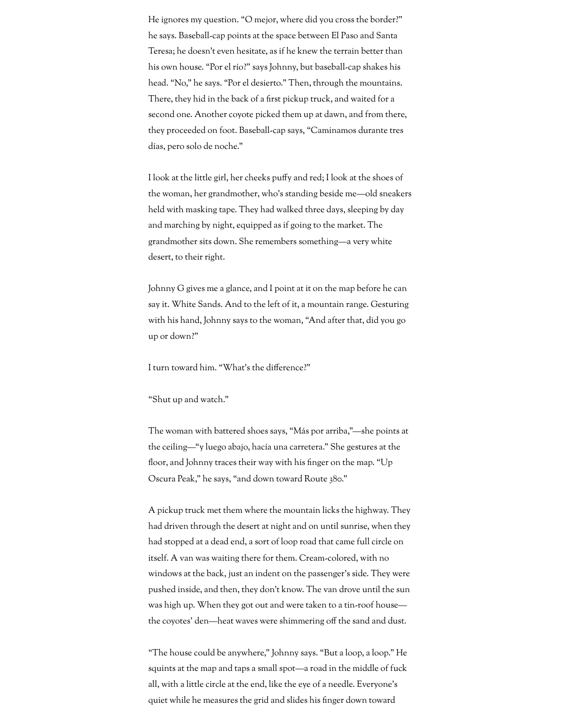He ignores my question. "O mejor, where did you cross the border?" he says. Baseball-cap points at the space between El Paso and Santa Teresa; he doesn't even hesitate, as if he knew the terrain better than his own house. "Por el río?" says Johnny, but baseball-cap shakes his head. "No," he says. "Por el desierto." Then, through the mountains. There, they hid in the back of a first pickup truck, and waited for a second one. Another coyote picked them up at dawn, and from there, they proceeded on foot. Baseball-cap says, "Caminamos durante tres días, pero solo de noche."

I look at the little girl, her cheeks puffy and red; I look at the shoes of the woman, her grandmother, who's standing beside me—old sneakers held with masking tape. They had walked three days, sleeping by day and marching by night, equipped as if going to the market. The grandmother sits down. She remembers something—a very white desert, to their right.

Johnny G gives me a glance, and I point at it on the map before he can say it. White Sands. And to the left of it, a mountain range. Gesturing with his hand, Johnny says to the woman, "And after that, did you go up or down?"

I turn toward him. "What's the difference?"

"Shut up and watch."

The woman with battered shoes says, "Más por arriba,"—she points at the ceiling—"y luego abajo, hacía una carretera." She gestures at the floor, and Johnny traces their way with his finger on the map. "Up Oscura Peak," he says, "and down toward Route 380."

A pickup truck met them where the mountain licks the highway. They had driven through the desert at night and on until sunrise, when they had stopped at a dead end, a sort of loop road that came full circle on itself. A van was waiting there for them. Cream-colored, with no windows at the back, just an indent on the passenger's side. They were pushed inside, and then, they don't know. The van drove until the sun was high up. When they got out and were taken to a tin-roof house the coyotes' den—heat waves were shimmering off the sand and dust.

"The house could be anywhere," Johnny says. "But a loop, a loop." He squints at the map and taps a small spot—a road in the middle of fuck all, with a little circle at the end, like the eye of a needle. Everyone's quiet while he measures the grid and slides his finger down toward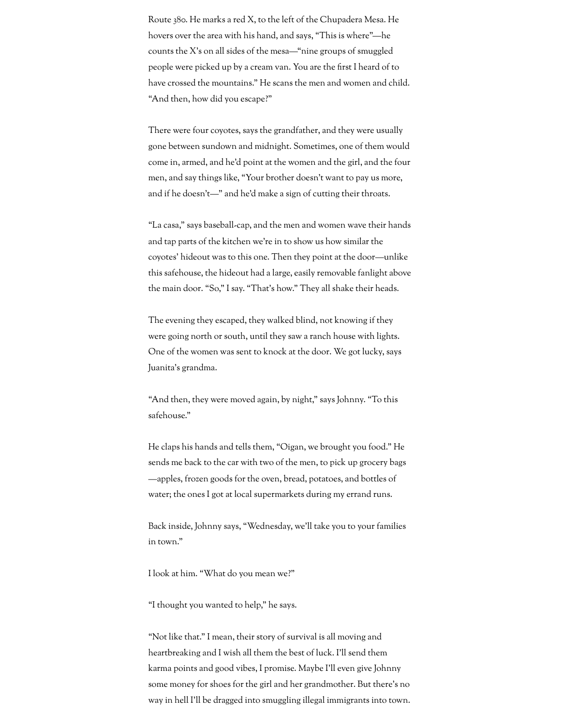Route 380. He marks a red X, to the left of the Chupadera Mesa. He hovers over the area with his hand, and says, "This is where"—he counts the X's on all sides of the mesa—"nine groups of smuggled people were picked up by a cream van. You are the first I heard of to have crossed the mountains." He scans the men and women and child. "And then, how did you escape?"

There were four coyotes, says the grandfather, and they were usually gone between sundown and midnight. Sometimes, one of them would come in, armed, and he'd point at the women and the girl, and the four men, and say things like, "Your brother doesn't want to pay us more, and if he doesn't—" and he'd make a sign of cutting their throats.

"La casa," says baseball-cap, and the men and women wave their hands and tap parts of the kitchen we're in to show us how similar the coyotes' hideout was to this one. Then they point at the door—unlike this safehouse, the hideout had a large, easily removable fanlight above the main door. "So," I say. "That's how." They all shake their heads.

The evening they escaped, they walked blind, not knowing if they were going north or south, until they saw a ranch house with lights. One of the women was sent to knock at the door. We got lucky, says Juanita's grandma.

"And then, they were moved again, by night," says Johnny. "To this safehouse."

He claps his hands and tells them, "Oigan, we brought you food." He sends me back to the car with two of the men, to pick up grocery bags —apples, frozen goods for the oven, bread, potatoes, and bottles of water; the ones I got at local supermarkets during my errand runs.

Back inside, Johnny says, "Wednesday, we'll take you to your families in town."

I look at him. "What do you mean we?"

"I thought you wanted to help," he says.

"Not like that." I mean, their story of survival is all moving and heartbreaking and I wish all them the best of luck. I'll send them karma points and good vibes, I promise. Maybe I'll even give Johnny some money for shoes for the girl and her grandmother. But there's no way in hell I'll be dragged into smuggling illegal immigrants into town.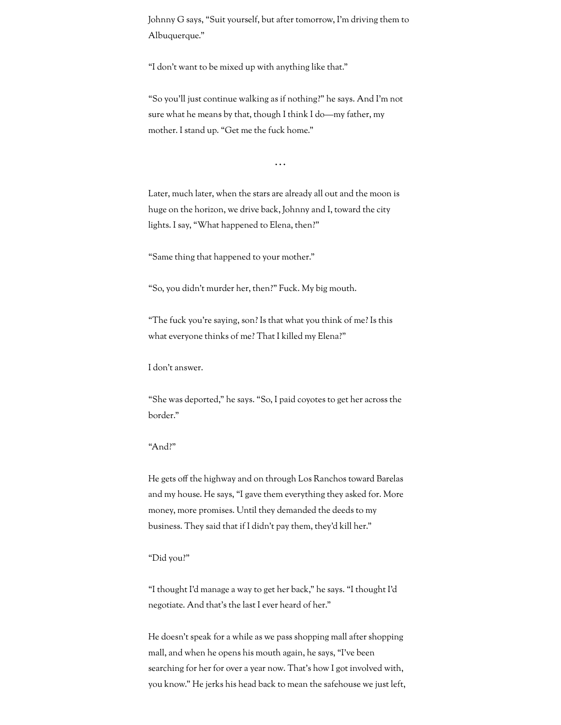Johnny G says, "Suit yourself, but after tomorrow, I'm driving them to Albuquerque."

"I don't want to be mixed up with anything like that."

"So you'll just continue walking as if nothing?" he says. And I'm not sure what he means by that, though I think I do—my father, my mother. I stand up. "Get me the fuck home."

. . .

Later, much later, when the stars are already all out and the moon is huge on the horizon, we drive back, Johnny and I, toward the city lights. I say, "What happened to Elena, then?"

"Same thing that happened to your mother."

"So, you didn't murder her, then?" Fuck. My big mouth.

"The fuck you're saying, son? Is that what you think of me? Is this what everyone thinks of me? That I killed my Elena?"

I don't answer.

"She was deported," he says. "So, I paid coyotes to get her across the border."

#### "And?"

He gets off the highway and on through Los Ranchos toward Barelas and my house. He says, "I gave them everything they asked for. More money, more promises. Until they demanded the deeds to my business. They said that if I didn't pay them, they'd kill her."

#### "Did you?"

"I thought I'd manage a way to get her back," he says. "I thought I'd negotiate. And that's the last I ever heard of her."

He doesn't speak for a while as we pass shopping mall after shopping mall, and when he opens his mouth again, he says, "I've been searching for her for over a year now. That's how I got involved with, you know." He jerks his head back to mean the safehouse we just left,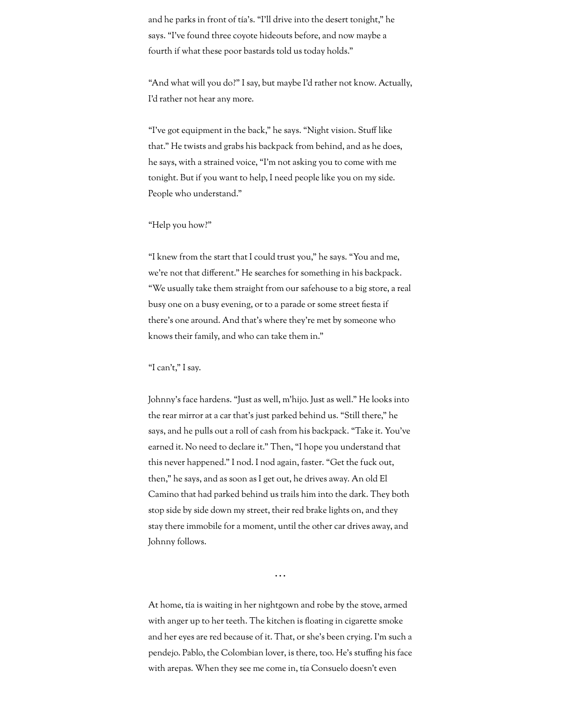and he parks in front of tía's. "I'll drive into the desert tonight," he says. "I've found three coyote hideouts before, and now maybe a fourth if what these poor bastards told us today holds."

"And what will you do?" I say, but maybe I'd rather not know. Actually, I'd rather not hear any more.

"I've got equipment in the back," he says. "Night vision. Stuff like that." He twists and grabs his backpack from behind, and as he does, he says, with a strained voice, "I'm not asking you to come with me tonight. But if you want to help, I need people like you on my side. People who understand."

#### "Help you how?"

"I knew from the start that I could trust you," he says. "You and me, we're not that different." He searches for something in his backpack. "We usually take them straight from our safehouse to a big store, a real busy one on a busy evening, or to a parade or some street fiesta if there's one around. And that's where they're met by someone who knows their family, and who can take them in."

## "I can't," I say.

Johnny's face hardens. "Just as well, m'hijo. Just as well." He looks into the rear mirror at a car that's just parked behind us. "Still there," he says, and he pulls out a roll of cash from his backpack. "Take it. You've earned it. No need to declare it." Then, "I hope you understand that this never happened." I nod. I nod again, faster. "Get the fuck out, then," he says, and as soon as I get out, he drives away. An old El Camino that had parked behind us trails him into the dark. They both stop side by side down my street, their red brake lights on, and they stay there immobile for a moment, until the other car drives away, and Johnny follows.

. . .

At home, tía is waiting in her nightgown and robe by the stove, armed with anger up to her teeth. The kitchen is floating in cigarette smoke and her eyes are red because of it. That, or she's been crying. I'm such a pendejo. Pablo, the Colombian lover, is there, too. He's stung his face with arepas. When they see me come in, tía Consuelo doesn't even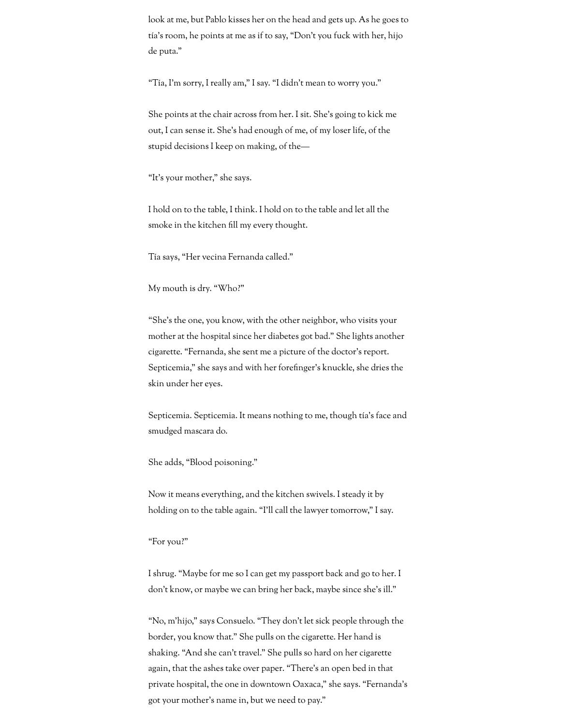look at me, but Pablo kisses her on the head and gets up. As he goes to tía's room, he points at me as if to say, "Don't you fuck with her, hijo de puta."

"Tía, I'm sorry, I really am," I say. "I didn't mean to worry you."

She points at the chair across from her. I sit. She's going to kick me out, I can sense it. She's had enough of me, of my loser life, of the stupid decisions I keep on making, of the—

"It's your mother," she says.

I hold on to the table, I think. I hold on to the table and let all the smoke in the kitchen fill my every thought.

Tía says, "Her vecina Fernanda called."

My mouth is dry. "Who?"

"She's the one, you know, with the other neighbor, who visits your mother at the hospital since her diabetes got bad." She lights another cigarette. "Fernanda, she sent me a picture of the doctor's report. Septicemia," she says and with her forefinger's knuckle, she dries the skin under her eyes.

Septicemia. Septicemia. It means nothing to me, though tía's face and smudged mascara do.

She adds, "Blood poisoning."

Now it means everything, and the kitchen swivels. I steady it by holding on to the table again. "I'll call the lawyer tomorrow," I say.

"For you?"

I shrug. "Maybe for me so I can get my passport back and go to her. I don't know, or maybe we can bring her back, maybe since she's ill."

"No, m'hijo," says Consuelo. "They don't let sick people through the border, you know that." She pulls on the cigarette. Her hand is shaking. "And she can't travel." She pulls so hard on her cigarette again, that the ashes take over paper. "There's an open bed in that private hospital, the one in downtown Oaxaca," she says. "Fernanda's got your mother's name in, but we need to pay."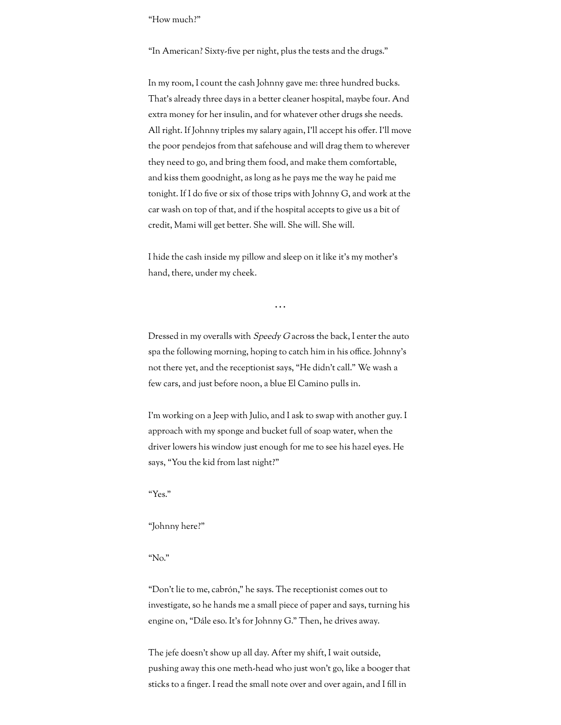"How much?"

"In American? Sixty-five per night, plus the tests and the drugs."

In my room, I count the cash Johnny gave me: three hundred bucks. That's already three days in a better cleaner hospital, maybe four. And extra money for her insulin, and for whatever other drugs she needs. All right. If Johnny triples my salary again, I'll accept his offer. I'll move the poor pendejos from that safehouse and will drag them to wherever they need to go, and bring them food, and make them comfortable, and kiss them goodnight, as long as he pays me the way he paid me tonight. If I do five or six of those trips with Johnny G, and work at the car wash on top of that, and if the hospital accepts to give us a bit of credit, Mami will get better. She will. She will. She will.

I hide the cash inside my pillow and sleep on it like it's my mother's hand, there, under my cheek.

Dressed in my overalls with *Speedy G* across the back, I enter the auto spa the following morning, hoping to catch him in his office. Johnny's not there yet, and the receptionist says, "He didn't call." We wash a few cars, and just before noon, a blue El Camino pulls in.

. . .

I'm working on a Jeep with Julio, and I ask to swap with another guy. I approach with my sponge and bucket full of soap water, when the driver lowers his window just enough for me to see his hazel eyes. He says, "You the kid from last night?"

"Yes."

## "Johnny here?"

"No."

"Don't lie to me, cabrón," he says. The receptionist comes out to investigate, so he hands me a small piece of paper and says, turning his engine on, "Dále eso. It's for Johnny G." Then, he drives away.

The jefe doesn't show up all day. After my shift, I wait outside, pushing away this one meth-head who just won't go, like a booger that sticks to a finger. I read the small note over and over again, and I fill in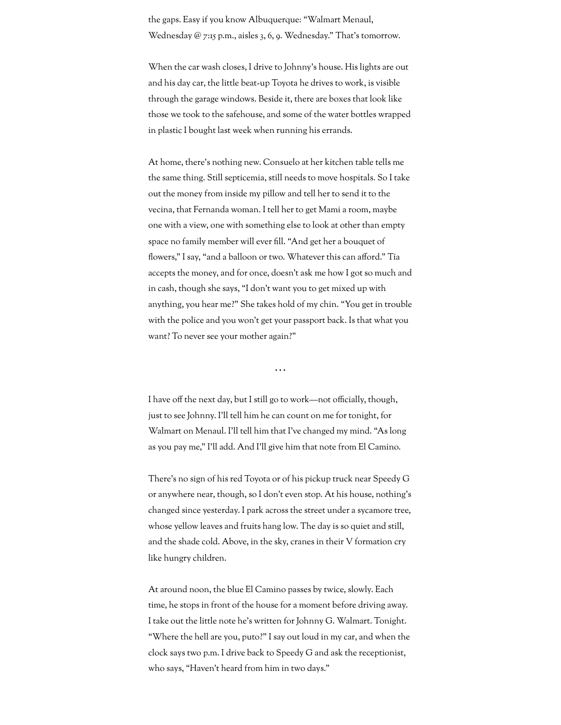the gaps. Easy if you know Albuquerque: "Walmart Menaul, Wednesday @ 7:15 p.m., aisles 3, 6, 9. Wednesday." That's tomorrow.

When the car wash closes, I drive to Johnny's house. His lights are out and his day car, the little beat-up Toyota he drives to work, is visible through the garage windows. Beside it, there are boxes that look like those we took to the safehouse, and some of the water bottles wrapped in plastic I bought last week when running his errands.

At home, there's nothing new. Consuelo at her kitchen table tells me the same thing. Still septicemia, still needs to move hospitals. So I take out the money from inside my pillow and tell her to send it to the vecina, that Fernanda woman. I tell her to get Mami a room, maybe one with a view, one with something else to look at other than empty space no family member will ever fill. "And get her a bouquet of flowers," I say, "and a balloon or two. Whatever this can afford." Tía accepts the money, and for once, doesn't ask me how I got so much and in cash, though she says, "I don't want you to get mixed up with anything, you hear me?" She takes hold of my chin. "You get in trouble with the police and you won't get your passport back. Is that what you want? To never see your mother again?"

. . .

I have off the next day, but I still go to work—not officially, though, just to see Johnny. I'll tell him he can count on me for tonight, for Walmart on Menaul. I'll tell him that I've changed my mind. "As long as you pay me," I'll add. And I'll give him that note from El Camino.

There's no sign of his red Toyota or of his pickup truck near Speedy G or anywhere near, though, so I don't even stop. At his house, nothing's changed since yesterday. I park across the street under a sycamore tree, whose yellow leaves and fruits hang low. The day is so quiet and still, and the shade cold. Above, in the sky, cranes in their V formation cry like hungry children.

At around noon, the blue El Camino passes by twice, slowly. Each time, he stops in front of the house for a moment before driving away. I take out the little note he's written for Johnny G. Walmart. Tonight. "Where the hell are you, puto?" I say out loud in my car, and when the clock says two p.m. I drive back to Speedy G and ask the receptionist, who says, "Haven't heard from him in two days."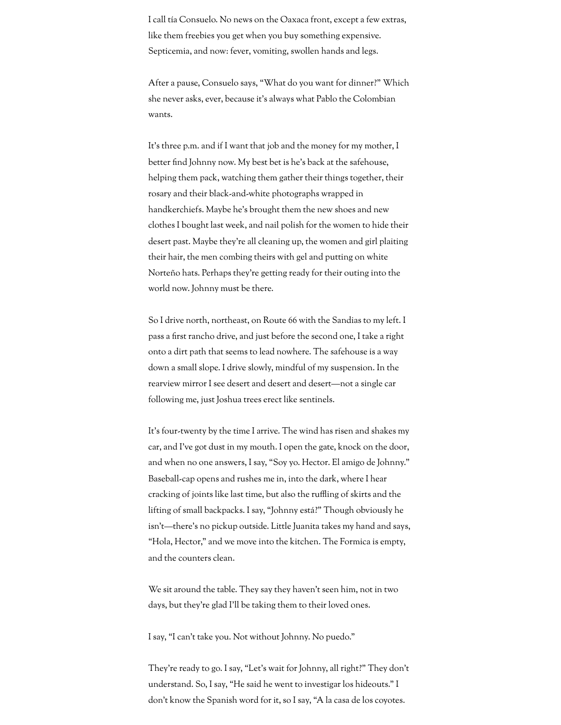I call tía Consuelo. No news on the Oaxaca front, except a few extras, like them freebies you get when you buy something expensive. Septicemia, and now: fever, vomiting, swollen hands and legs.

After a pause, Consuelo says, "What do you want for dinner?" Which she never asks, ever, because it's always what Pablo the Colombian wants.

It's three p.m. and if I want that job and the money for my mother, I better find Johnny now. My best bet is he's back at the safehouse, helping them pack, watching them gather their things together, their rosary and their black-and-white photographs wrapped in handkerchiefs. Maybe he's brought them the new shoes and new clothes I bought last week, and nail polish for the women to hide their desert past. Maybe they're all cleaning up, the women and girl plaiting their hair, the men combing theirs with gel and putting on white Norteño hats. Perhaps they're getting ready for their outing into the world now. Johnny must be there.

So I drive north, northeast, on Route 66 with the Sandias to my left. I pass a first rancho drive, and just before the second one, I take a right onto a dirt path that seems to lead nowhere. The safehouse is a way down a small slope. I drive slowly, mindful of my suspension. In the rearview mirror I see desert and desert and desert—not a single car following me, just Joshua trees erect like sentinels.

It's four-twenty by the time I arrive. The wind has risen and shakes my car, and I've got dust in my mouth. I open the gate, knock on the door, and when no one answers, I say, "Soy yo. Hector. El amigo de Johnny." Baseball-cap opens and rushes me in, into the dark, where I hear cracking of joints like last time, but also the ruffling of skirts and the lifting of small backpacks. I say, "Johnny está?" Though obviously he isn't—there's no pickup outside. Little Juanita takes my hand and says, "Hola, Hector," and we move into the kitchen. The Formica is empty, and the counters clean.

We sit around the table. They say they haven't seen him, not in two days, but they're glad I'll be taking them to their loved ones.

I say, "I can't take you. Not without Johnny. No puedo."

They're ready to go. I say, "Let's wait for Johnny, all right?" They don't understand. So, I say, "He said he went to investigar los hideouts." I don't know the Spanish word for it, so I say, "A la casa de los coyotes.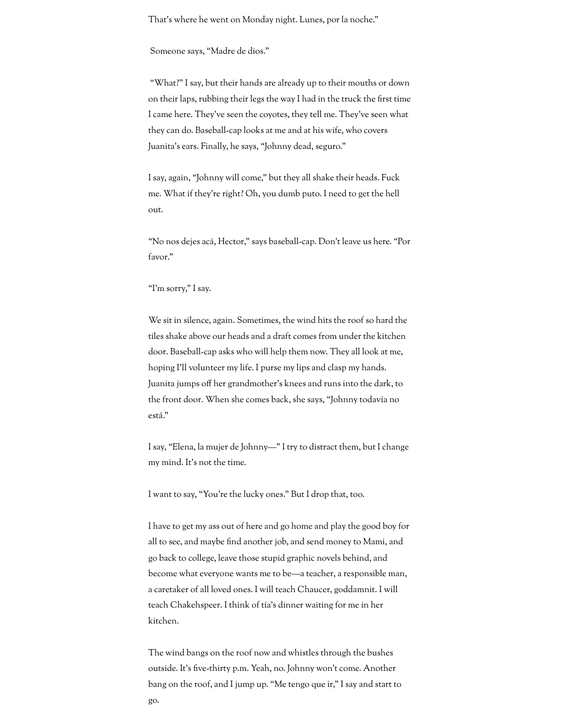That's where he went on Monday night. Lunes, por la noche."

Someone says, "Madre de dios."

"What?" I say, but their hands are already up to their mouths or down on their laps, rubbing their legs the way I had in the truck the first time I came here. They've seen the coyotes, they tell me. They've seen what they can do. Baseball-cap looks at me and at his wife, who covers Juanita's ears. Finally, he says, "Johnny dead, seguro."

I say, again, "Johnny will come," but they all shake their heads. Fuck me. What if they're right? Oh, you dumb puto. I need to get the hell out.

"No nos dejes acá, Hector," says baseball-cap. Don't leave us here. "Por favor."

"I'm sorry," I say.

We sit in silence, again. Sometimes, the wind hits the roof so hard the tiles shake above our heads and a draft comes from under the kitchen door. Baseball-cap asks who will help them now. They all look at me, hoping I'll volunteer my life. I purse my lips and clasp my hands. Juanita jumps off her grandmother's knees and runs into the dark, to the front door. When she comes back, she says, "Johnny todavía no está."

I say, "Elena, la mujer de Johnny—" I try to distract them, but I change my mind. It's not the time.

I want to say, "You're the lucky ones." But I drop that, too.

I have to get my ass out of here and go home and play the good boy for all to see, and maybe find another job, and send money to Mami, and go back to college, leave those stupid graphic novels behind, and become what everyone wants me to be—a teacher, a responsible man, a caretaker of all loved ones. I will teach Chaucer, goddamnit. I will teach Chakehspeer. I think of tía's dinner waiting for me in her kitchen.

The wind bangs on the roof now and whistles through the bushes outside. It's five-thirty p.m. Yeah, no. Johnny won't come. Another bang on the roof, and I jump up. "Me tengo que ir," I say and start to go.